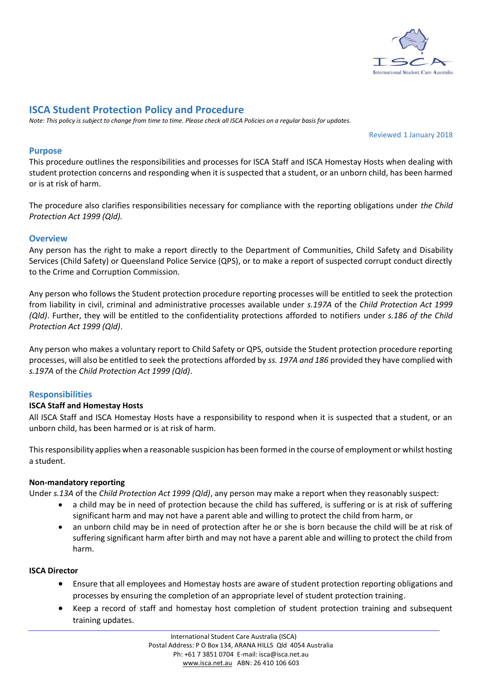

# **ISCA Student Protection Policy and Procedure**

*Note: This policy is subject to change from time to time. Please check all ISCA Policies on a regular basis for updates.*

Reviewed 1 January 2018

### **Purpose**

This procedure outlines the responsibilities and processes for ISCA Staff and ISCA Homestay Hosts when dealing with student protection concerns and responding when it is suspected that a student, or an unborn child, has been harmed or is at risk of harm.

The procedure also clarifies responsibilities necessary for compliance with the reporting obligations under *the Child Protection Act 1999 (Qld).*

### **Overview**

Any person has the right to make a report directly to the Department of Communities, Child Safety and Disability Services (Child Safety) or Queensland Police Service (QPS), or to make a report of suspected corrupt conduct directly to the Crime and Corruption Commission.

Any person who follows the Student protection procedure reporting processes will be entitled to seek the protection from liability in civil, criminal and administrative processes available under *s.197A* of the *Child Protection Act 1999 (Qld)*. Further, they will be entitled to the confidentiality protections afforded to notifiers under *s.186 of the Child Protection Act 1999 (Qld)*.

Any person who makes a voluntary report to Child Safety or QPS, outside the Student protection procedure reporting processes, will also be entitled to seek the protections afforded by *ss. 197A and 186* provided they have complied with *s.197A* of the *Child Protection Act 1999 (Qld)*.

## **Responsibilities**

### **ISCA Staff and Homestay Hosts**

All ISCA Staff and ISCA Homestay Hosts have a responsibility to respond when it is suspected that a student, or an unborn child, has been harmed or is at risk of harm.

This responsibility applies when a reasonable suspicion has been formed in the course of employment or whilst hosting a student.

### **Non-mandatory reporting**

Under *s.13A* of the *Child Protection Act 1999 (Qld)*, any person may make a report when they reasonably suspect:

- a child may be in need of protection because the child has suffered, is suffering or is at risk of suffering significant harm and may not have a parent able and willing to protect the child from harm, or
- an unborn child may be in need of protection after he or she is born because the child will be at risk of suffering significant harm after birth and may not have a parent able and willing to protect the child from harm.

### **ISCA Director**

- Ensure that all employees and Homestay hosts are aware of student protection reporting obligations and processes by ensuring the completion of an appropriate level of student protection training.
- Keep a record of staff and homestay host completion of student protection training and subsequent training updates.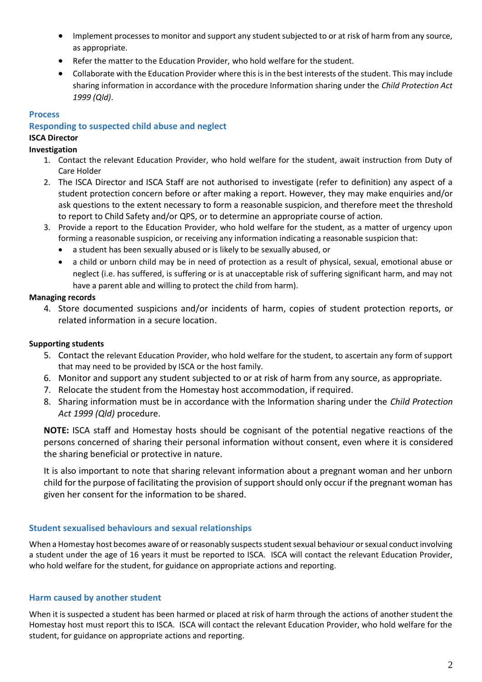- Implement processes to monitor and support any student subjected to or at risk of harm from any source, as appropriate.
- Refer the matter to the Education Provider, who hold welfare for the student.
- Collaborate with the Education Provider where this is in the best interests of the student. This may include sharing information in accordance with the procedure Information sharing under the *Child Protection Act 1999 (Qld)*.

# **Process**

# **Responding to suspected child abuse and neglect**

# **ISCA Director**

## **Investigation**

- 1. Contact the relevant Education Provider, who hold welfare for the student, await instruction from Duty of Care Holder
- 2. The ISCA Director and ISCA Staff are not authorised to investigate (refer to definition) any aspect of a student protection concern before or after making a report. However, they may make enquiries and/or ask questions to the extent necessary to form a reasonable suspicion, and therefore meet the threshold to report to Child Safety and/or QPS, or to determine an appropriate course of action.
- 3. Provide a report to the Education Provider, who hold welfare for the student, as a matter of urgency upon forming a reasonable suspicion, or receiving any information indicating a reasonable suspicion that:
	- a student has been sexually abused or is likely to be sexually abused, or
	- a child or unborn child may be in need of protection as a result of physical, sexual, emotional abuse or neglect (i.e. has suffered, is suffering or is at unacceptable risk of suffering significant harm, and may not have a parent able and willing to protect the child from harm).

# **Managing records**

4. Store documented suspicions and/or incidents of harm, copies of student protection reports, or related information in a secure location.

# **Supporting students**

- 5. Contact the relevant Education Provider, who hold welfare for the student, to ascertain any form of support that may need to be provided by ISCA or the host family.
- 6. Monitor and support any student subjected to or at risk of harm from any source, as appropriate.
- 7. Relocate the student from the Homestay host accommodation, if required.
- 8. Sharing information must be in accordance with the Information sharing under the *Child Protection Act 1999 (Qld)* procedure.

**NOTE:** ISCA staff and Homestay hosts should be cognisant of the potential negative reactions of the persons concerned of sharing their personal information without consent, even where it is considered the sharing beneficial or protective in nature.

It is also important to note that sharing relevant information about a pregnant woman and her unborn child for the purpose of facilitating the provision of support should only occur if the pregnant woman has given her consent for the information to be shared.

# **Student sexualised behaviours and sexual relationships**

When a Homestay host becomes aware of or reasonably suspects student sexual behaviour or sexual conduct involving a student under the age of 16 years it must be reported to ISCA. ISCA will contact the relevant Education Provider, who hold welfare for the student, for guidance on appropriate actions and reporting.

# **Harm caused by another student**

When it is suspected a student has been harmed or placed at risk of harm through the actions of another student the Homestay host must report this to ISCA. ISCA will contact the relevant Education Provider, who hold welfare for the student, for guidance on appropriate actions and reporting.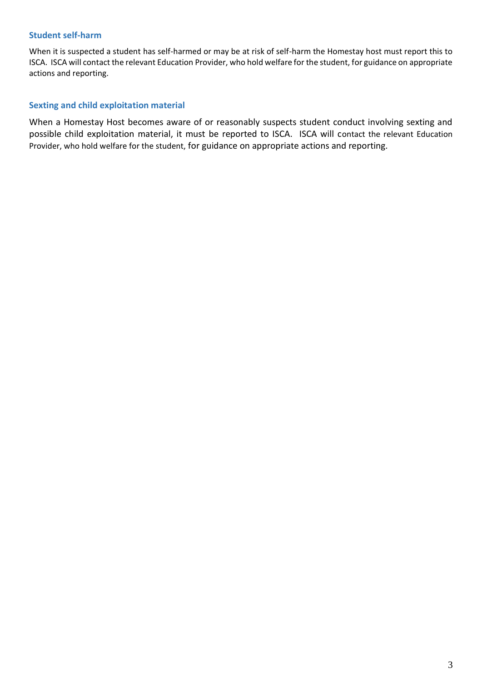## **Student self-harm**

When it is suspected a student has self-harmed or may be at risk of self-harm the Homestay host must report this to ISCA. ISCA will contact the relevant Education Provider, who hold welfare for the student, for guidance on appropriate actions and reporting.

## **Sexting and child exploitation material**

When a Homestay Host becomes aware of or reasonably suspects student conduct involving sexting and possible child exploitation material, it must be reported to ISCA. ISCA will contact the relevant Education Provider, who hold welfare for the student, for guidance on appropriate actions and reporting.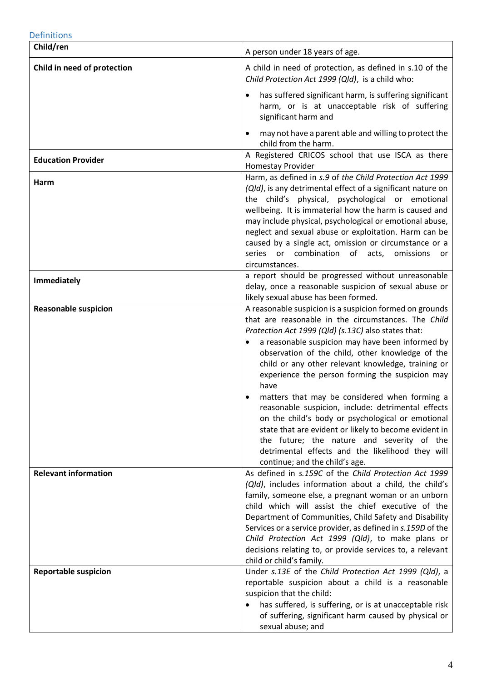Definitions

| Child/ren                   | A person under 18 years of age.                                                                                                                                                                                                                                                                                                                                                                                                                                                                                                                                                                                                                                                                                                                                      |
|-----------------------------|----------------------------------------------------------------------------------------------------------------------------------------------------------------------------------------------------------------------------------------------------------------------------------------------------------------------------------------------------------------------------------------------------------------------------------------------------------------------------------------------------------------------------------------------------------------------------------------------------------------------------------------------------------------------------------------------------------------------------------------------------------------------|
| Child in need of protection | A child in need of protection, as defined in s.10 of the<br>Child Protection Act 1999 (Qld), is a child who:                                                                                                                                                                                                                                                                                                                                                                                                                                                                                                                                                                                                                                                         |
|                             | has suffered significant harm, is suffering significant<br>$\bullet$<br>harm, or is at unacceptable risk of suffering<br>significant harm and                                                                                                                                                                                                                                                                                                                                                                                                                                                                                                                                                                                                                        |
|                             | may not have a parent able and willing to protect the<br>child from the harm.                                                                                                                                                                                                                                                                                                                                                                                                                                                                                                                                                                                                                                                                                        |
| <b>Education Provider</b>   | A Registered CRICOS school that use ISCA as there<br>Homestay Provider                                                                                                                                                                                                                                                                                                                                                                                                                                                                                                                                                                                                                                                                                               |
| Harm                        | Harm, as defined in s.9 of the Child Protection Act 1999<br>(Qld), is any detrimental effect of a significant nature on<br>the child's physical, psychological or emotional<br>wellbeing. It is immaterial how the harm is caused and<br>may include physical, psychological or emotional abuse,<br>neglect and sexual abuse or exploitation. Harm can be<br>caused by a single act, omission or circumstance or a<br>series or combination of acts,<br>omissions<br>or                                                                                                                                                                                                                                                                                              |
| Immediately                 | circumstances.<br>a report should be progressed without unreasonable<br>delay, once a reasonable suspicion of sexual abuse or<br>likely sexual abuse has been formed.                                                                                                                                                                                                                                                                                                                                                                                                                                                                                                                                                                                                |
| <b>Reasonable suspicion</b> | A reasonable suspicion is a suspicion formed on grounds<br>that are reasonable in the circumstances. The Child<br>Protection Act 1999 (Qld) (s.13C) also states that:<br>a reasonable suspicion may have been informed by<br>$\bullet$<br>observation of the child, other knowledge of the<br>child or any other relevant knowledge, training or<br>experience the person forming the suspicion may<br>have<br>matters that may be considered when forming a<br>reasonable suspicion, include: detrimental effects<br>on the child's body or psychological or emotional<br>state that are evident or likely to become evident in<br>the future; the nature and severity of the<br>detrimental effects and the likelihood they will<br>continue; and the child's age. |
| <b>Relevant information</b> | As defined in s.159C of the Child Protection Act 1999<br>(Qld), includes information about a child, the child's<br>family, someone else, a pregnant woman or an unborn<br>child which will assist the chief executive of the<br>Department of Communities, Child Safety and Disability<br>Services or a service provider, as defined in s.159D of the<br>Child Protection Act 1999 (Qld), to make plans or<br>decisions relating to, or provide services to, a relevant<br>child or child's family.                                                                                                                                                                                                                                                                  |
| <b>Reportable suspicion</b> | Under s.13E of the Child Protection Act 1999 (Qld), a<br>reportable suspicion about a child is a reasonable<br>suspicion that the child:<br>has suffered, is suffering, or is at unacceptable risk<br>of suffering, significant harm caused by physical or<br>sexual abuse; and                                                                                                                                                                                                                                                                                                                                                                                                                                                                                      |